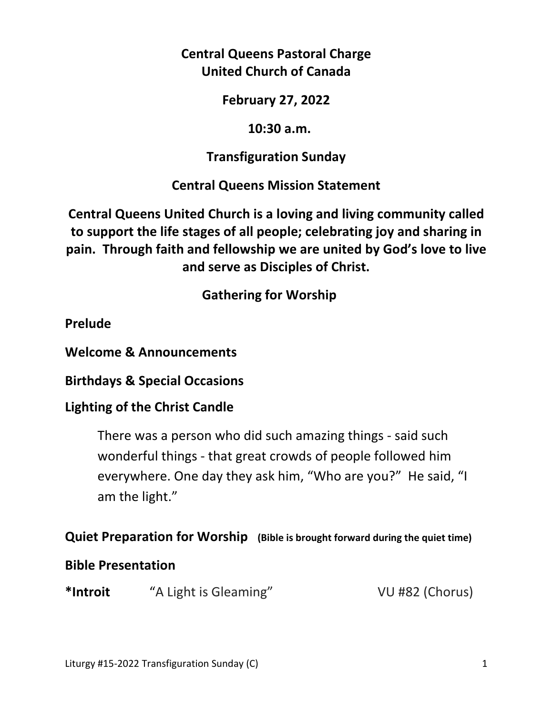**Central Queens Pastoral Charge United Church of Canada** 

**February 27, 2022** 

 **10:30 a.m.** 

**Transfiguration Sunday** 

**Central Queens Mission Statement** 

**Central Queens United Church is a loving and living community called to support the life stages of all people; celebrating joy and sharing in pain. Through faith and fellowship we are united by God's love to live and serve as Disciples of Christ.**

 **Gathering for Worship** 

**Prelude** 

**Welcome & Announcements** 

**Birthdays & Special Occasions** 

**Lighting of the Christ Candle** 

There was a person who did such amazing things - said such wonderful things - that great crowds of people followed him everywhere. One day they ask him, "Who are you?" He said, "I am the light."

# **Quiet Preparation for Worship (Bible is brought forward during the quiet time)**

# **Bible Presentation**

**\*Introit** "A Light is Gleaming" VU #82 (Chorus)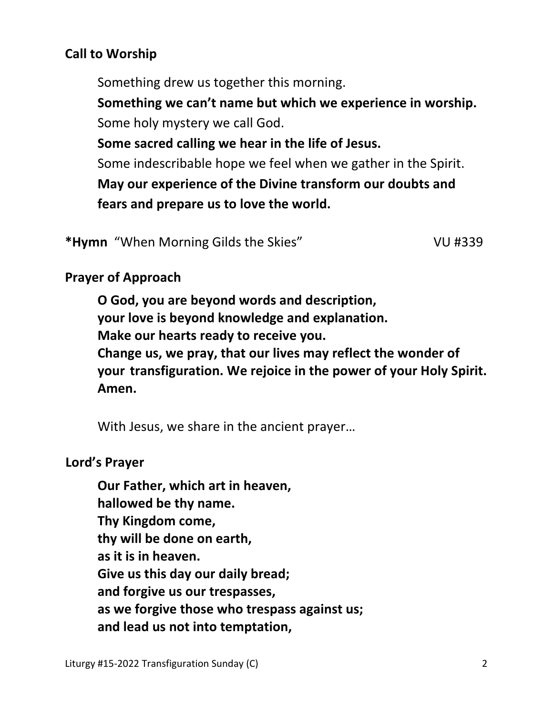# **Call to Worship**

Something drew us together this morning.

 **Something we can't name but which we experience in worship.** Some holy mystery we call God.

 **Some sacred calling we hear in the life of Jesus.**

Some indescribable hope we feel when we gather in the Spirit.

 **May our experience of the Divine transform our doubts and fears and prepare us to love the world.**

\*Hymn "When Morning Gilds the Skies" VU #339

# **Prayer of Approach**

 **O God, you are beyond words and description, your love is beyond knowledge and explanation. Make our hearts ready to receive you. Change us, we pray, that our lives may reflect the wonder of your transfiguration. We rejoice in the power of your Holy Spirit. Amen.** 

With Jesus, we share in the ancient prayer…

# **Lord's Prayer**

**Our Father, which art in heaven, hallowed be thy name. Thy Kingdom come, thy will be done on earth, as it is in heaven. Give us this day our daily bread; and forgive us our trespasses, as we forgive those who trespass against us; and lead us not into temptation,**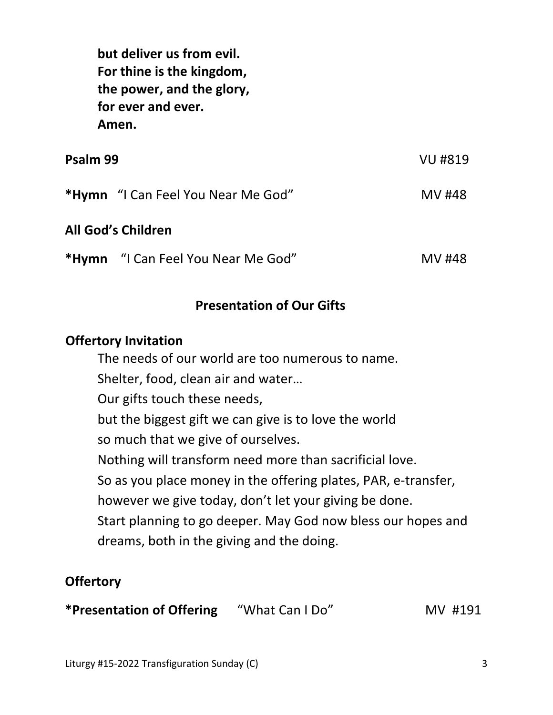**but deliver us from evil. For thine is the kingdom, the power, and the glory, for ever and ever. Amen.** 

| Psalm 99                  |                                           | VU #819 |
|---------------------------|-------------------------------------------|---------|
|                           | <b>*Hymn</b> "I Can Feel You Near Me God" | MV #48  |
| <b>All God's Children</b> |                                           |         |
|                           | *Hymn "I Can Feel You Near Me God"        | MV #48  |

## **Presentation of Our Gifts**

#### **Offertory Invitation**

 The needs of our world are too numerous to name. Shelter, food, clean air and water… Our gifts touch these needs, but the biggest gift we can give is to love the world so much that we give of ourselves. Nothing will transform need more than sacrificial love. So as you place money in the offering plates, PAR, e-transfer, however we give today, don't let your giving be done. Start planning to go deeper. May God now bless our hopes and dreams, both in the giving and the doing.

# **Offertory**

**\*Presentation of Offering** "What Can I Do" MV #191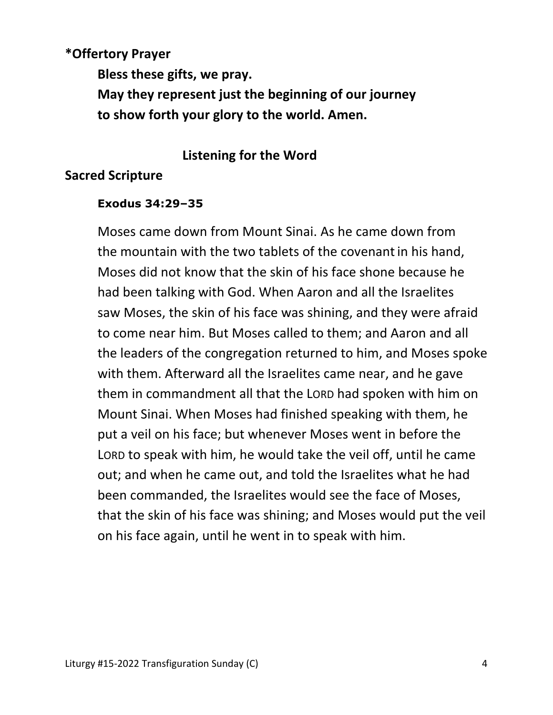# **\*Offertory Prayer Bless these gifts, we pray. May they represent just the beginning of our journey to show forth your glory to the world. Amen.**

## **Listening for the Word**

## **Sacred Scripture**

#### **Exodus 34:29–35**

Moses came down from Mount Sinai. As he came down from the mountain with the two tablets of the covenantin his hand, Moses did not know that the skin of his face shone because he had been talking with God. When Aaron and all the Israelites saw Moses, the skin of his face was shining, and they were afraid to come near him. But Moses called to them; and Aaron and all the leaders of the congregation returned to him, and Moses spoke with them. Afterward all the Israelites came near, and he gave them in commandment all that the LORD had spoken with him on Mount Sinai. When Moses had finished speaking with them, he put a veil on his face; but whenever Moses went in before the LORD to speak with him, he would take the veil off, until he came out; and when he came out, and told the Israelites what he had been commanded, the Israelites would see the face of Moses, that the skin of his face was shining; and Moses would put the veil on his face again, until he went in to speak with him.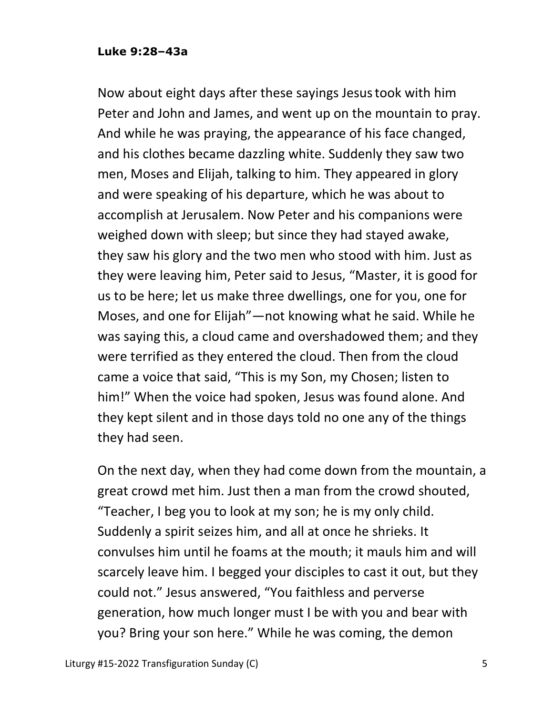#### **Luke 9:28–43a**

Now about eight days after these sayings Jesustook with him Peter and John and James, and went up on the mountain to pray. And while he was praying, the appearance of his face changed, and his clothes became dazzling white. Suddenly they saw two men, Moses and Elijah, talking to him. They appeared in glory and were speaking of his departure, which he was about to accomplish at Jerusalem. Now Peter and his companions were weighed down with sleep; but since they had stayed awake, they saw his glory and the two men who stood with him. Just as they were leaving him, Peter said to Jesus, "Master, it is good for us to be here; let us make three dwellings, one for you, one for Moses, and one for Elijah"—not knowing what he said. While he was saying this, a cloud came and overshadowed them; and they were terrified as they entered the cloud. Then from the cloud came a voice that said, "This is my Son, my Chosen; listen to him!" When the voice had spoken, Jesus was found alone. And they kept silent and in those days told no one any of the things they had seen.

On the next day, when they had come down from the mountain, a great crowd met him. Just then a man from the crowd shouted, "Teacher, I beg you to look at my son; he is my only child. Suddenly a spirit seizes him, and all at once he shrieks. It convulses him until he foams at the mouth; it mauls him and will scarcely leave him. I begged your disciples to cast it out, but they could not." Jesus answered, "You faithless and perverse generation, how much longer must I be with you and bear with you? Bring your son here." While he was coming, the demon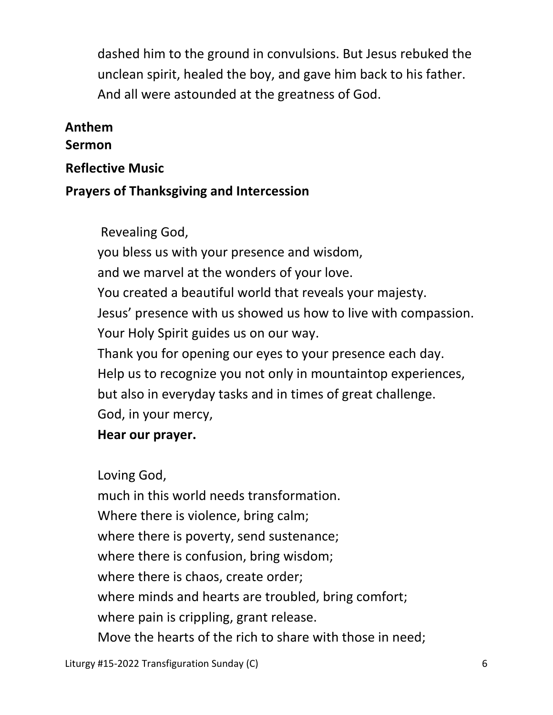dashed him to the ground in convulsions. But Jesus rebuked the unclean spirit, healed the boy, and gave him back to his father. And all were astounded at the greatness of God.

# **Anthem**

## **Sermon**

**Reflective Music** 

# **Prayers of Thanksgiving and Intercession**

Revealing God,

 you bless us with your presence and wisdom, and we marvel at the wonders of your love. You created a beautiful world that reveals your majesty. Jesus' presence with us showed us how to live with compassion. Your Holy Spirit guides us on our way. Thank you for opening our eyes to your presence each day. Help us to recognize you not only in mountaintop experiences, but also in everyday tasks and in times of great challenge.

God, in your mercy,

# **Hear our prayer.**

 Loving God, much in this world needs transformation. Where there is violence, bring calm; where there is poverty, send sustenance; where there is confusion, bring wisdom; where there is chaos, create order; where minds and hearts are troubled, bring comfort; where pain is crippling, grant release. Move the hearts of the rich to share with those in need;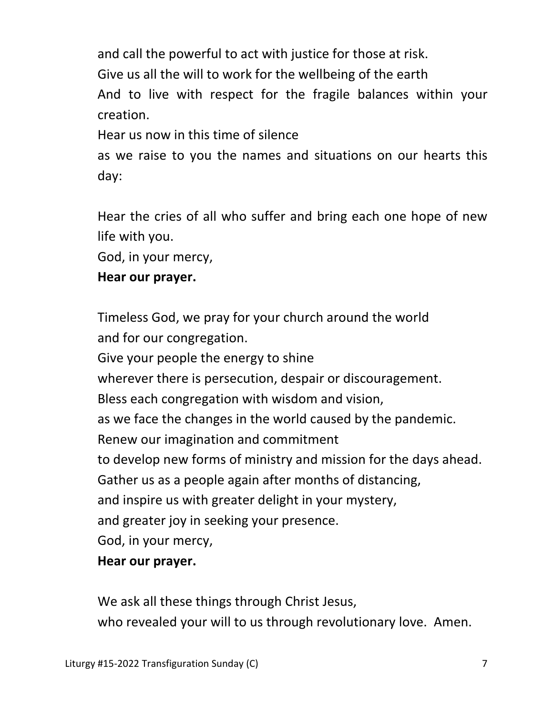and call the powerful to act with justice for those at risk. Give us all the will to work for the wellbeing of the earth And to live with respect for the fragile balances within your creation.

Hear us now in this time of silence

as we raise to you the names and situations on our hearts this day:

Hear the cries of all who suffer and bring each one hope of new life with you.

God, in your mercy,

# **Hear our prayer.**

Timeless God, we pray for your church around the world and for our congregation.

 Give your people the energy to shine wherever there is persecution, despair or discouragement. Bless each congregation with wisdom and vision, as we face the changes in the world caused by the pandemic. Renew our imagination and commitment to develop new forms of ministry and mission for the days ahead. Gather us as a people again after months of distancing, and inspire us with greater delight in your mystery, and greater joy in seeking your presence. God, in your mercy,  **Hear our prayer.** 

 We ask all these things through Christ Jesus, who revealed your will to us through revolutionary love. Amen.